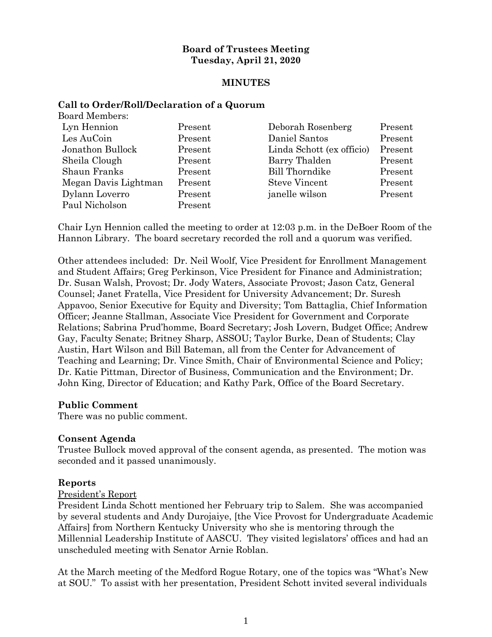## **Board of Trustees Meeting Tuesday, April 21, 2020**

## **MINUTES**

#### **Call to Order/Roll/Declaration of a Quorum** Board Members:

| board members.       |         |                           |         |
|----------------------|---------|---------------------------|---------|
| Lyn Hennion          | Present | Deborah Rosenberg         | Present |
| Les AuCoin           | Present | Daniel Santos             | Present |
| Jonathon Bullock     | Present | Linda Schott (ex officio) | Present |
| Sheila Clough        | Present | Barry Thalden             | Present |
| Shaun Franks         | Present | <b>Bill Thorndike</b>     | Present |
| Megan Davis Lightman | Present | <b>Steve Vincent</b>      | Present |
| Dylann Loverro       | Present | janelle wilson            | Present |
| Paul Nicholson       | Present |                           |         |

Chair Lyn Hennion called the meeting to order at 12:03 p.m. in the DeBoer Room of the Hannon Library. The board secretary recorded the roll and a quorum was verified.

Other attendees included: Dr. Neil Woolf, Vice President for Enrollment Management and Student Affairs; Greg Perkinson, Vice President for Finance and Administration; Dr. Susan Walsh, Provost; Dr. Jody Waters, Associate Provost; Jason Catz, General Counsel; Janet Fratella, Vice President for University Advancement; Dr. Suresh Appavoo, Senior Executive for Equity and Diversity; Tom Battaglia, Chief Information Officer; Jeanne Stallman, Associate Vice President for Government and Corporate Relations; Sabrina Prud'homme, Board Secretary; Josh Lovern, Budget Office; Andrew Gay, Faculty Senate; Britney Sharp, ASSOU; Taylor Burke, Dean of Students; Clay Austin, Hart Wilson and Bill Bateman, all from the Center for Advancement of Teaching and Learning; Dr. Vince Smith, Chair of Environmental Science and Policy; Dr. Katie Pittman, Director of Business, Communication and the Environment; Dr. John King, Director of Education; and Kathy Park, Office of the Board Secretary.

## **Public Comment**

There was no public comment.

## **Consent Agenda**

Trustee Bullock moved approval of the consent agenda, as presented. The motion was seconded and it passed unanimously.

#### **Reports**

#### President's Report

President Linda Schott mentioned her February trip to Salem. She was accompanied by several students and Andy Durojaiye, [the Vice Provost for Undergraduate Academic Affairs] from Northern Kentucky University who she is mentoring through the Millennial Leadership Institute of AASCU. They visited legislators' offices and had an unscheduled meeting with Senator Arnie Roblan.

At the March meeting of the Medford Rogue Rotary, one of the topics was "What's New at SOU." To assist with her presentation, President Schott invited several individuals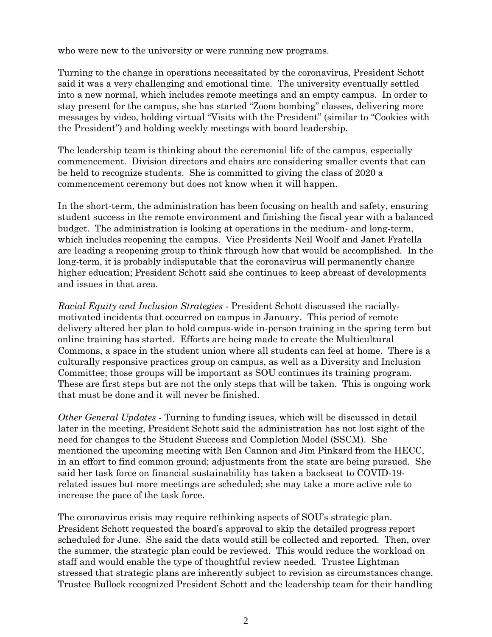who were new to the university or were running new programs.

Turning to the change in operations necessitated by the coronavirus, President Schott said it was a very challenging and emotional time. The university eventually settled into a new normal, which includes remote meetings and an empty campus. In order to stay present for the campus, she has started "Zoom bombing" classes, delivering more messages by video, holding virtual "Visits with the President" (similar to "Cookies with the President") and holding weekly meetings with board leadership.

The leadership team is thinking about the ceremonial life of the campus, especially commencement. Division directors and chairs are considering smaller events that can be held to recognize students. She is committed to giving the class of 2020 a commencement ceremony but does not know when it will happen.

In the short-term, the administration has been focusing on health and safety, ensuring student success in the remote environment and finishing the fiscal year with a balanced budget. The administration is looking at operations in the medium- and long-term, which includes reopening the campus. Vice Presidents Neil Woolf and Janet Fratella are leading a reopening group to think through how that would be accomplished. In the long-term, it is probably indisputable that the coronavirus will permanently change higher education; President Schott said she continues to keep abreast of developments and issues in that area.

*Racial Equity and Inclusion Strategies* - President Schott discussed the raciallymotivated incidents that occurred on campus in January. This period of remote delivery altered her plan to hold campus-wide in-person training in the spring term but online training has started. Efforts are being made to create the Multicultural Commons, a space in the student union where all students can feel at home. There is a culturally responsive practices group on campus, as well as a Diversity and Inclusion Committee; those groups will be important as SOU continues its training program. These are first steps but are not the only steps that will be taken. This is ongoing work that must be done and it will never be finished.

*Other General Updates* - Turning to funding issues, which will be discussed in detail later in the meeting, President Schott said the administration has not lost sight of the need for changes to the Student Success and Completion Model (SSCM). She mentioned the upcoming meeting with Ben Cannon and Jim Pinkard from the HECC, in an effort to find common ground; adjustments from the state are being pursued. She said her task force on financial sustainability has taken a backseat to COVID-19 related issues but more meetings are scheduled; she may take a more active role to increase the pace of the task force.

The coronavirus crisis may require rethinking aspects of SOU's strategic plan. President Schott requested the board's approval to skip the detailed progress report scheduled for June. She said the data would still be collected and reported. Then, over the summer, the strategic plan could be reviewed. This would reduce the workload on staff and would enable the type of thoughtful review needed. Trustee Lightman stressed that strategic plans are inherently subject to revision as circumstances change. Trustee Bullock recognized President Schott and the leadership team for their handling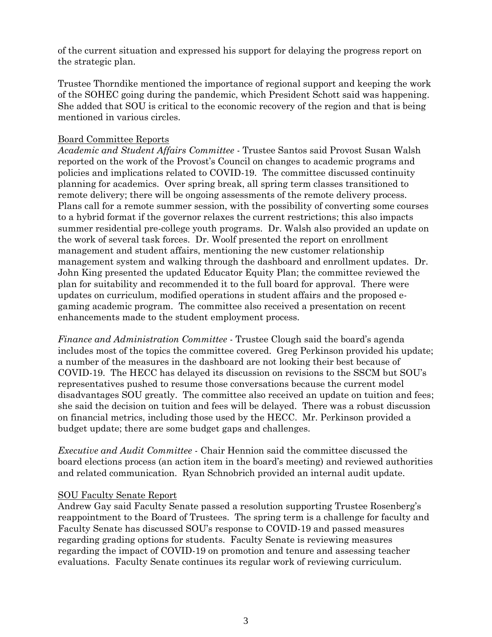of the current situation and expressed his support for delaying the progress report on the strategic plan.

Trustee Thorndike mentioned the importance of regional support and keeping the work of the SOHEC going during the pandemic, which President Schott said was happening. She added that SOU is critical to the economic recovery of the region and that is being mentioned in various circles.

## Board Committee Reports

*Academic and Student Affairs Committee* - Trustee Santos said Provost Susan Walsh reported on the work of the Provost's Council on changes to academic programs and policies and implications related to COVID-19. The committee discussed continuity planning for academics. Over spring break, all spring term classes transitioned to remote delivery; there will be ongoing assessments of the remote delivery process. Plans call for a remote summer session, with the possibility of converting some courses to a hybrid format if the governor relaxes the current restrictions; this also impacts summer residential pre-college youth programs. Dr. Walsh also provided an update on the work of several task forces. Dr. Woolf presented the report on enrollment management and student affairs, mentioning the new customer relationship management system and walking through the dashboard and enrollment updates. Dr. John King presented the updated Educator Equity Plan; the committee reviewed the plan for suitability and recommended it to the full board for approval. There were updates on curriculum, modified operations in student affairs and the proposed egaming academic program. The committee also received a presentation on recent enhancements made to the student employment process.

*Finance and Administration Committee* - Trustee Clough said the board's agenda includes most of the topics the committee covered. Greg Perkinson provided his update; a number of the measures in the dashboard are not looking their best because of COVID-19. The HECC has delayed its discussion on revisions to the SSCM but SOU's representatives pushed to resume those conversations because the current model disadvantages SOU greatly. The committee also received an update on tuition and fees; she said the decision on tuition and fees will be delayed. There was a robust discussion on financial metrics, including those used by the HECC. Mr. Perkinson provided a budget update; there are some budget gaps and challenges.

*Executive and Audit Committee* - Chair Hennion said the committee discussed the board elections process (an action item in the board's meeting) and reviewed authorities and related communication. Ryan Schnobrich provided an internal audit update.

## SOU Faculty Senate Report

Andrew Gay said Faculty Senate passed a resolution supporting Trustee Rosenberg's reappointment to the Board of Trustees. The spring term is a challenge for faculty and Faculty Senate has discussed SOU's response to COVID-19 and passed measures regarding grading options for students. Faculty Senate is reviewing measures regarding the impact of COVID-19 on promotion and tenure and assessing teacher evaluations. Faculty Senate continues its regular work of reviewing curriculum.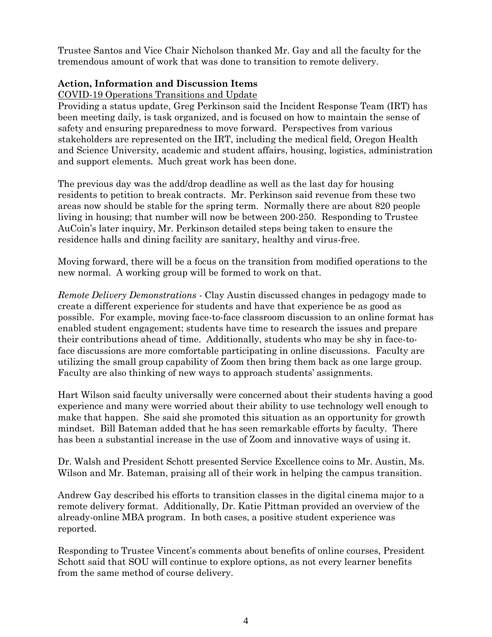Trustee Santos and Vice Chair Nicholson thanked Mr. Gay and all the faculty for the tremendous amount of work that was done to transition to remote delivery.

# **Action, Information and Discussion Items**

COVID-19 Operations Transitions and Update

Providing a status update, Greg Perkinson said the Incident Response Team (IRT) has been meeting daily, is task organized, and is focused on how to maintain the sense of safety and ensuring preparedness to move forward. Perspectives from various stakeholders are represented on the IRT, including the medical field, Oregon Health and Science University, academic and student affairs, housing, logistics, administration and support elements. Much great work has been done.

The previous day was the add/drop deadline as well as the last day for housing residents to petition to break contracts. Mr. Perkinson said revenue from these two areas now should be stable for the spring term. Normally there are about 820 people living in housing; that number will now be between 200-250. Responding to Trustee AuCoin's later inquiry, Mr. Perkinson detailed steps being taken to ensure the residence halls and dining facility are sanitary, healthy and virus-free.

Moving forward, there will be a focus on the transition from modified operations to the new normal. A working group will be formed to work on that.

*Remote Delivery Demonstrations -* Clay Austin discussed changes in pedagogy made to create a different experience for students and have that experience be as good as possible. For example, moving face-to-face classroom discussion to an online format has enabled student engagement; students have time to research the issues and prepare their contributions ahead of time. Additionally, students who may be shy in face-toface discussions are more comfortable participating in online discussions. Faculty are utilizing the small group capability of Zoom then bring them back as one large group. Faculty are also thinking of new ways to approach students' assignments.

Hart Wilson said faculty universally were concerned about their students having a good experience and many were worried about their ability to use technology well enough to make that happen. She said she promoted this situation as an opportunity for growth mindset. Bill Bateman added that he has seen remarkable efforts by faculty. There has been a substantial increase in the use of Zoom and innovative ways of using it.

Dr. Walsh and President Schott presented Service Excellence coins to Mr. Austin, Ms. Wilson and Mr. Bateman, praising all of their work in helping the campus transition.

Andrew Gay described his efforts to transition classes in the digital cinema major to a remote delivery format. Additionally, Dr. Katie Pittman provided an overview of the already-online MBA program. In both cases, a positive student experience was reported.

Responding to Trustee Vincent's comments about benefits of online courses, President Schott said that SOU will continue to explore options, as not every learner benefits from the same method of course delivery.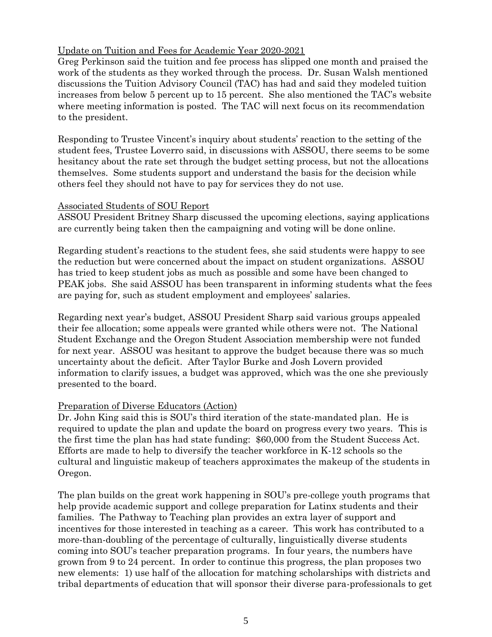## Update on Tuition and Fees for Academic Year 2020-2021

Greg Perkinson said the tuition and fee process has slipped one month and praised the work of the students as they worked through the process. Dr. Susan Walsh mentioned discussions the Tuition Advisory Council (TAC) has had and said they modeled tuition increases from below 5 percent up to 15 percent. She also mentioned the TAC's website where meeting information is posted. The TAC will next focus on its recommendation to the president.

Responding to Trustee Vincent's inquiry about students' reaction to the setting of the student fees, Trustee Loverro said, in discussions with ASSOU, there seems to be some hesitancy about the rate set through the budget setting process, but not the allocations themselves. Some students support and understand the basis for the decision while others feel they should not have to pay for services they do not use.

#### Associated Students of SOU Report

ASSOU President Britney Sharp discussed the upcoming elections, saying applications are currently being taken then the campaigning and voting will be done online.

Regarding student's reactions to the student fees, she said students were happy to see the reduction but were concerned about the impact on student organizations. ASSOU has tried to keep student jobs as much as possible and some have been changed to PEAK jobs. She said ASSOU has been transparent in informing students what the fees are paying for, such as student employment and employees' salaries.

Regarding next year's budget, ASSOU President Sharp said various groups appealed their fee allocation; some appeals were granted while others were not. The National Student Exchange and the Oregon Student Association membership were not funded for next year. ASSOU was hesitant to approve the budget because there was so much uncertainty about the deficit. After Taylor Burke and Josh Lovern provided information to clarify issues, a budget was approved, which was the one she previously presented to the board.

## Preparation of Diverse Educators (Action)

Dr. John King said this is SOU's third iteration of the state-mandated plan. He is required to update the plan and update the board on progress every two years. This is the first time the plan has had state funding: \$60,000 from the Student Success Act. Efforts are made to help to diversify the teacher workforce in K-12 schools so the cultural and linguistic makeup of teachers approximates the makeup of the students in Oregon.

The plan builds on the great work happening in SOU's pre-college youth programs that help provide academic support and college preparation for Latinx students and their families. The Pathway to Teaching plan provides an extra layer of support and incentives for those interested in teaching as a career. This work has contributed to a more-than-doubling of the percentage of culturally, linguistically diverse students coming into SOU's teacher preparation programs. In four years, the numbers have grown from 9 to 24 percent. In order to continue this progress, the plan proposes two new elements: 1) use half of the allocation for matching scholarships with districts and tribal departments of education that will sponsor their diverse para-professionals to get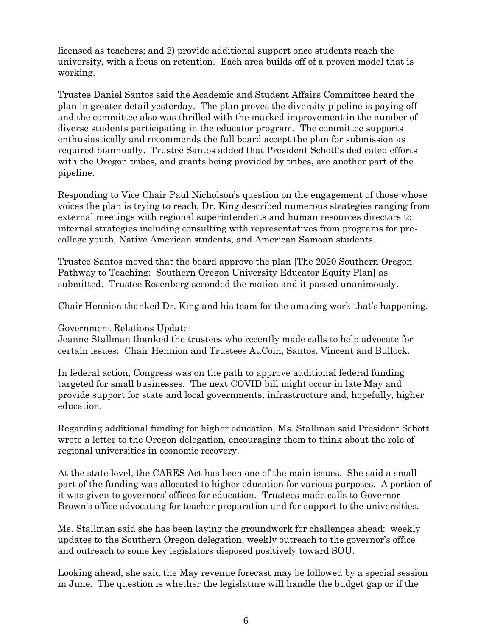licensed as teachers; and 2) provide additional support once students reach the university, with a focus on retention. Each area builds off of a proven model that is working.

Trustee Daniel Santos said the Academic and Student Affairs Committee heard the plan in greater detail yesterday. The plan proves the diversity pipeline is paying off and the committee also was thrilled with the marked improvement in the number of diverse students participating in the educator program. The committee supports enthusiastically and recommends the full board accept the plan for submission as required biannually. Trustee Santos added that President Schott's dedicated efforts with the Oregon tribes, and grants being provided by tribes, are another part of the pipeline.

Responding to Vice Chair Paul Nicholson's question on the engagement of those whose voices the plan is trying to reach, Dr. King described numerous strategies ranging from external meetings with regional superintendents and human resources directors to internal strategies including consulting with representatives from programs for precollege youth, Native American students, and American Samoan students.

Trustee Santos moved that the board approve the plan [The 2020 Southern Oregon Pathway to Teaching: Southern Oregon University Educator Equity Plan] as submitted. Trustee Rosenberg seconded the motion and it passed unanimously.

Chair Hennion thanked Dr. King and his team for the amazing work that's happening.

## Government Relations Update

Jeanne Stallman thanked the trustees who recently made calls to help advocate for certain issues: Chair Hennion and Trustees AuCoin, Santos, Vincent and Bullock.

In federal action, Congress was on the path to approve additional federal funding targeted for small businesses. The next COVID bill might occur in late May and provide support for state and local governments, infrastructure and, hopefully, higher education.

Regarding additional funding for higher education, Ms. Stallman said President Schott wrote a letter to the Oregon delegation, encouraging them to think about the role of regional universities in economic recovery.

At the state level, the CARES Act has been one of the main issues. She said a small part of the funding was allocated to higher education for various purposes. A portion of it was given to governors' offices for education. Trustees made calls to Governor Brown's office advocating for teacher preparation and for support to the universities.

Ms. Stallman said she has been laying the groundwork for challenges ahead: weekly updates to the Southern Oregon delegation, weekly outreach to the governor's office and outreach to some key legislators disposed positively toward SOU.

Looking ahead, she said the May revenue forecast may be followed by a special session in June. The question is whether the legislature will handle the budget gap or if the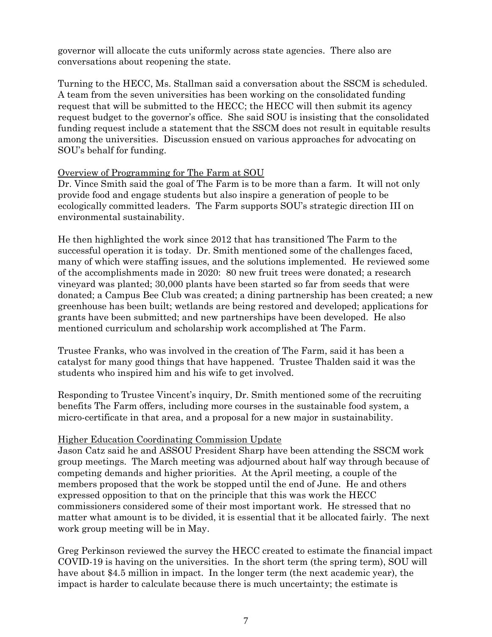governor will allocate the cuts uniformly across state agencies. There also are conversations about reopening the state.

Turning to the HECC, Ms. Stallman said a conversation about the SSCM is scheduled. A team from the seven universities has been working on the consolidated funding request that will be submitted to the HECC; the HECC will then submit its agency request budget to the governor's office. She said SOU is insisting that the consolidated funding request include a statement that the SSCM does not result in equitable results among the universities. Discussion ensued on various approaches for advocating on SOU's behalf for funding.

## Overview of Programming for The Farm at SOU

Dr. Vince Smith said the goal of The Farm is to be more than a farm. It will not only provide food and engage students but also inspire a generation of people to be ecologically committed leaders. The Farm supports SOU's strategic direction III on environmental sustainability.

He then highlighted the work since 2012 that has transitioned The Farm to the successful operation it is today. Dr. Smith mentioned some of the challenges faced, many of which were staffing issues, and the solutions implemented. He reviewed some of the accomplishments made in 2020: 80 new fruit trees were donated; a research vineyard was planted; 30,000 plants have been started so far from seeds that were donated; a Campus Bee Club was created; a dining partnership has been created; a new greenhouse has been built; wetlands are being restored and developed; applications for grants have been submitted; and new partnerships have been developed. He also mentioned curriculum and scholarship work accomplished at The Farm.

Trustee Franks, who was involved in the creation of The Farm, said it has been a catalyst for many good things that have happened. Trustee Thalden said it was the students who inspired him and his wife to get involved.

Responding to Trustee Vincent's inquiry, Dr. Smith mentioned some of the recruiting benefits The Farm offers, including more courses in the sustainable food system, a micro-certificate in that area, and a proposal for a new major in sustainability.

# Higher Education Coordinating Commission Update

Jason Catz said he and ASSOU President Sharp have been attending the SSCM work group meetings. The March meeting was adjourned about half way through because of competing demands and higher priorities. At the April meeting, a couple of the members proposed that the work be stopped until the end of June. He and others expressed opposition to that on the principle that this was work the HECC commissioners considered some of their most important work. He stressed that no matter what amount is to be divided, it is essential that it be allocated fairly. The next work group meeting will be in May.

Greg Perkinson reviewed the survey the HECC created to estimate the financial impact COVID-19 is having on the universities. In the short term (the spring term), SOU will have about \$4.5 million in impact. In the longer term (the next academic year), the impact is harder to calculate because there is much uncertainty; the estimate is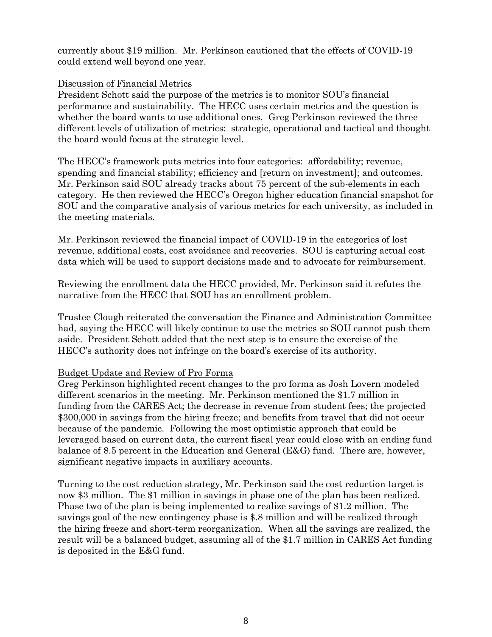currently about \$19 million. Mr. Perkinson cautioned that the effects of COVID-19 could extend well beyond one year.

## Discussion of Financial Metrics

President Schott said the purpose of the metrics is to monitor SOU's financial performance and sustainability. The HECC uses certain metrics and the question is whether the board wants to use additional ones. Greg Perkinson reviewed the three different levels of utilization of metrics: strategic, operational and tactical and thought the board would focus at the strategic level.

The HECC's framework puts metrics into four categories: affordability; revenue, spending and financial stability; efficiency and [return on investment]; and outcomes. Mr. Perkinson said SOU already tracks about 75 percent of the sub-elements in each category. He then reviewed the HECC's Oregon higher education financial snapshot for SOU and the comparative analysis of various metrics for each university, as included in the meeting materials.

Mr. Perkinson reviewed the financial impact of COVID-19 in the categories of lost revenue, additional costs, cost avoidance and recoveries. SOU is capturing actual cost data which will be used to support decisions made and to advocate for reimbursement.

Reviewing the enrollment data the HECC provided, Mr. Perkinson said it refutes the narrative from the HECC that SOU has an enrollment problem.

Trustee Clough reiterated the conversation the Finance and Administration Committee had, saying the HECC will likely continue to use the metrics so SOU cannot push them aside. President Schott added that the next step is to ensure the exercise of the HECC's authority does not infringe on the board's exercise of its authority.

# Budget Update and Review of Pro Forma

Greg Perkinson highlighted recent changes to the pro forma as Josh Lovern modeled different scenarios in the meeting. Mr. Perkinson mentioned the \$1.7 million in funding from the CARES Act; the decrease in revenue from student fees; the projected \$300,000 in savings from the hiring freeze; and benefits from travel that did not occur because of the pandemic. Following the most optimistic approach that could be leveraged based on current data, the current fiscal year could close with an ending fund balance of 8.5 percent in the Education and General (E&G) fund. There are, however, significant negative impacts in auxiliary accounts.

Turning to the cost reduction strategy, Mr. Perkinson said the cost reduction target is now \$3 million. The \$1 million in savings in phase one of the plan has been realized. Phase two of the plan is being implemented to realize savings of \$1.2 million. The savings goal of the new contingency phase is \$.8 million and will be realized through the hiring freeze and short-term reorganization. When all the savings are realized, the result will be a balanced budget, assuming all of the \$1.7 million in CARES Act funding is deposited in the E&G fund.